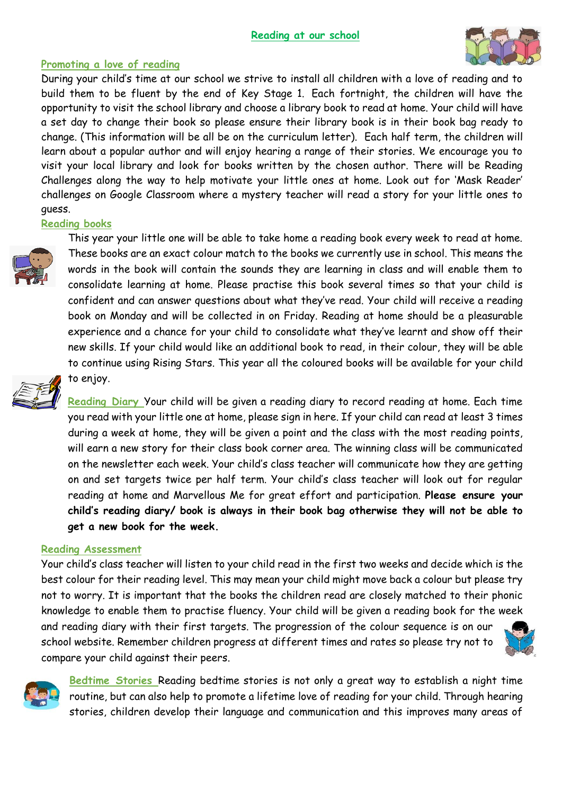

### **Promoting a love of reading**

During your child's time at our school we strive to install all children with a love of reading and to build them to be fluent by the end of Key Stage 1. Each fortnight, the children will have the opportunity to visit the school library and choose a library book to read at home. Your child will have a set day to change their book so please ensure their library book is in their book bag ready to change. (This information will be all be on the curriculum letter). Each half term, the children will learn about a popular author and will enjoy hearing a range of their stories. We encourage you to visit your local library and look for books written by the chosen author. There will be Reading Challenges along the way to help motivate your little ones at home. Look out for 'Mask Reader' challenges on Google Classroom where a mystery teacher will read a story for your little ones to guess.

### **Reading books**



This year your little one will be able to take home a reading book every week to read at home. These books are an exact colour match to the books we currently use in school. This means the words in the book will contain the sounds they are learning in class and will enable them to consolidate learning at home. Please practise this book several times so that your child is confident and can answer questions about what they've read. Your child will receive a reading book on Monday and will be collected in on Friday. Reading at home should be a pleasurable experience and a chance for your child to consolidate what they've learnt and show off their new skills. If your child would like an additional book to read, in their colour, they will be able to continue using Rising Stars. This year all the coloured books will be available for your child to enjoy.



**Reading Diary** Your child will be given a reading diary to record reading at home. Each time you read with your little one at home, please sign in here. If your child can read at least 3 times during a week at home, they will be given a point and the class with the most reading points, will earn a new story for their class book corner area. The winning class will be communicated on the newsletter each week. Your child's class teacher will communicate how they are getting on and set targets twice per half term. Your child's class teacher will look out for regular reading at home and Marvellous Me for great effort and participation. **Please ensure your child's reading diary/ book is always in their book bag otherwise they will not be able to get a new book for the week.**

#### **Reading Assessment**

compare your child against their peers.

Your child's class teacher will listen to your child read in the first two weeks and decide which is the best colour for their reading level. This may mean your child might move back a colour but please try not to worry. It is important that the books the children read are closely matched to their phonic knowledge to enable them to practise fluency. Your child will be given a reading book for the week and reading diary with their first targets. The progression of the colour sequence is on our school website. Remember children progress at different times and rates so please try not to





**Bedtime Stories** Reading bedtime stories is not only a great way to establish a night time routine, but can also help to promote a lifetime love of reading for your child. Through hearing stories, children develop their language and communication and this improves many areas of